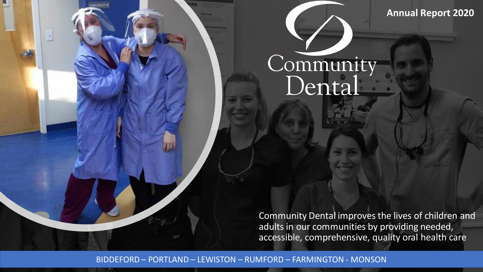**Annual Report 2020**

## Community Dental

Community Dental improves the lives of children and adults in our communities by providing needed, accessible, comprehensive, quality oral health care

BIDDEFORD – PORTLAND – LEWISTON – RUMFORD – FARMINGTON - MONSON

HECKOUT-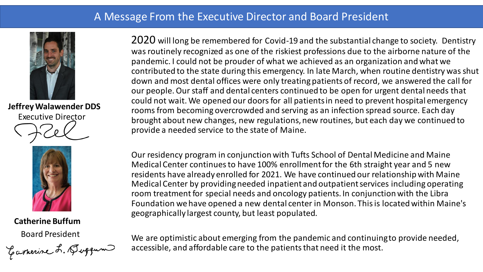### A Message From the Executive Director and Board President



**Jeffrey Walawender DDS** Executive Director



## **Catherine Buffum**

Board President<br>Carnerine L. Querun

2020 will long be remembered for Covid-19 and the substantial change to society. Dentistry was routinely recognized as one of the riskiest professions due to the airborne nature of the pandemic. I could not be prouder of what we achieved as an organization and what we contributed to the state during this emergency. In late March, when routine dentistry was shut down and most dental offices were only treatingpatients of record, we answered the call for our people.Our staff and dental centers continued to be open for urgent dental needs that could not wait. We opened our doors for all patients in need to prevent hospital emergency rooms from becoming overcrowded and serving as an infection spread source. Each day brought about new changes, new regulations, new routines, but each day we continued to provide a needed service to the state of Maine.

Our residency program in conjunction with Tufts School of Dental Medicine and Maine Medical Center continues to have 100% enrollment for the 6th straight year and 5 new residents have already enrolled for 2021. We have continued our relationship with Maine Medical Center by providing needed inpatient and outpatient services including operating room treatment for special needs and oncology patients. In conjunction with the Libra Foundation we have opened a new dental center in Monson. This is located within Maine's geographically largest county, but least populated.

We are optimistic about emerging from the pandemic and continuingto provide needed, accessible, and affordable care to the patients that need it the most.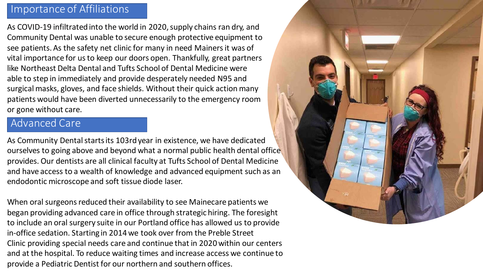### Importance of Affiliations

As COVID-19 infiltrated into the world in 2020, supply chains ran dry, and Community Dental was unable to secure enough protective equipment to see patients.As the safety net clinic for many in need Mainers it was of vital importance for us to keep our doors open. Thankfully, great partners like Northeast Delta Dental and Tufts School of Dental Medicine were able to step in immediately and provide desperately needed N95 and surgical masks, gloves, and face shields. Without their quick action many patients would have been diverted unnecessarily to the emergency room or gone without care.

### Advanced Care

As Community Dental starts its 103rd year in existence, we have dedicated ourselves to going above and beyond what a normal public health dental office provides. Our dentists are all clinical faculty at Tufts School of Dental Medicine and have access to a wealth of knowledge and advanced equipment such as an endodontic microscope and soft tissue diode laser.

When oral surgeons reduced their availability to see Mainecare patients we began providing advanced care in office through strategic hiring. The foresight to include an oral surgery suite in our Portland office has allowed us to provide in-office sedation. Starting in 2014 we took over from the Preble Street Clinic providing special needs care and continue that in 2020 within our centers and at the hospital. To reduce waiting times and increase access we continue to provide a Pediatric Dentist for our northern and southern offices.

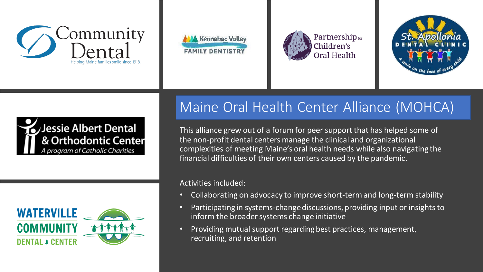











## Maine Oral Health Center Alliance (MOHCA)

This alliance grew out of a forum for peer support that has helped some of the non-profit dental centers manage the clinical and organizational complexities of meeting Maine's oral health needs while also navigating the financial difficulties of their own centers caused by the pandemic.

### Activities included:

- Collaborating on advocacy to improve short-term and long-term stability
- Participating in systems-change discussions, providing input or insights to inform the broader systems change initiative
- Providing mutual support regarding best practices, management, recruiting, and retention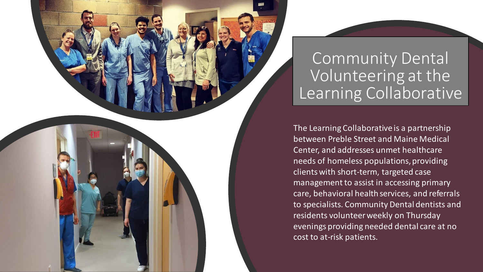## Community Dental Volunteering at the Learning Collaborative

The Learning Collaborative is a partnership between Preble Street and Maine Medical Center, and addresses unmet healthcare needs of homeless populations, providing clients with short-term, targeted case management to assist in accessing primary care, behavioral health services, and referrals to specialists. Community Dental dentists and residents volunteerweekly on Thursday evenings providing needed dental care at no cost to at-risk patients.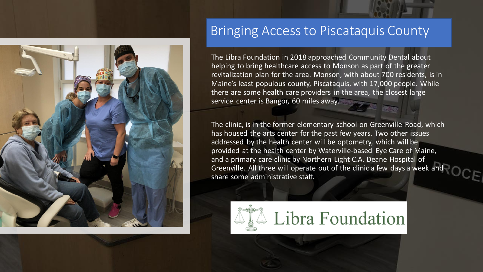

### Bringing Access to Piscataquis County

The Libra Foundation in 2018 approached Community Dental about helping to bring healthcare access to Monson as part of the greater revitalization plan for the area. Monson, with about 700 residents, is in Maine's least populous county, Piscataquis, with 17,000 people. While there are some health care providers in the area, the closest large service center is Bangor, 60 miles away.

The clinic, is in the former elementary school on Greenville Road, which has housed the arts center for the past few years. Two other issues addressed by the health center will be optometry, which will be provided at the health center by Waterville-based Eye Care of Maine, and a primary care clinic by Northern Light C.A. Deane Hospital of Greenville. All three will operate out of the clinic a few days a week and share some administrative staff.

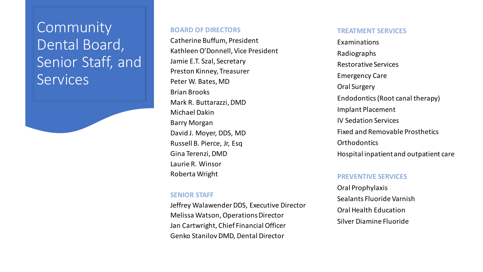**Community** Dental Board, Senior Staff, and **Services** 

#### **BOARD OF DIRECTORS**

Catherine Buffum, President Kathleen O'Donnell, Vice President Jamie E.T. Szal, Secretary Preston Kinney, Treasurer Peter W. Bates, MD Brian Brooks Mark R. Buttarazzi, DMD Michael Dakin Barry Morgan David J. Moyer, DDS, MD Russell B. Pierce, Jr, Esq Gina Terenzi, DMD Laurie R. Winsor Roberta Wright

#### **TREATMENT SERVICES**

Examinations Radiographs Restorative Services Emergency Care Oral Surgery Endodontics (Root canal therapy) Implant Placement IV Sedation Services Fixed and Removable Prosthetics **Orthodontics** Hospital inpatient and outpatient care

#### **PREVENTIVE SERVICES**

Oral Prophylaxis Sealants Fluoride Varnish Oral Health Education Silver Diamine Fluoride

#### **SENIOR STAFF**

Jeffrey Walawender DDS, Executive Director Melissa Watson, Operations Director Jan Cartwright, Chief Financial Officer Genko Stanilov DMD, Dental Director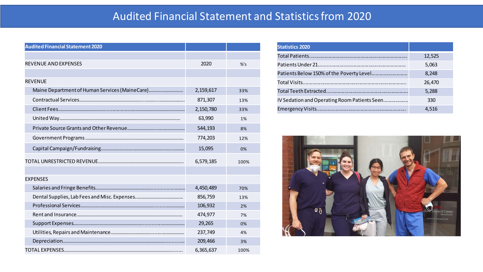### Audited Financial Statement and Statistics from 2020

| <b>Audited Financial Statement 2020</b>        |           |        |
|------------------------------------------------|-----------|--------|
|                                                |           |        |
| <b>REVENUE AND EXPENSES</b>                    | 2020      | $%$ 's |
|                                                |           |        |
| <b>REVENUE</b>                                 |           |        |
| Maine Department of Human Services (MaineCare) | 2,159,617 | 33%    |
|                                                | 871,307   | 13%    |
|                                                | 2,150,780 | 33%    |
|                                                | 63,990    | 1%     |
|                                                | 544,193   | 8%     |
|                                                | 774,203   | 12%    |
|                                                | 15,095    | 0%     |
|                                                | 6,579,185 | 100%   |
|                                                |           |        |
| <b>EXPENSES</b>                                |           |        |
|                                                | 4,450,489 | 70%    |
|                                                | 856,759   | 13%    |
|                                                | 106,932   | 2%     |
|                                                | 474,977   | 7%     |
|                                                | 29,265    | 0%     |
|                                                | 237,749   | 4%     |
|                                                | 209,466   | 3%     |
|                                                | 6,365,637 | 100%   |

| <b>Statistics 2020</b>                       |        |
|----------------------------------------------|--------|
|                                              | 12,525 |
|                                              | 5,063  |
| Patients Below 150% of the Poverty Level     | 8,248  |
|                                              | 26,470 |
|                                              | 5,288  |
| IV Sedation and Operating Room Patients Seen | 330    |
|                                              | 4.516  |

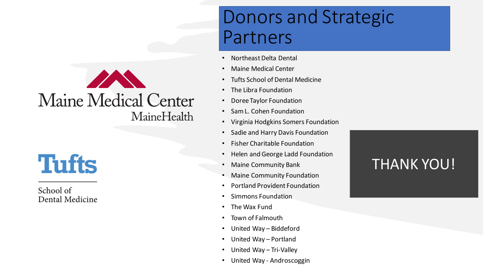## **AND** Maine Medical Center MaineHealth

**Tufts** 

School of Dental Medicine

## Donors and Strategic Partners

- Northeast Delta Dental
- Maine Medical Center
- Tufts School of Dental Medicine
- The Libra Foundation
- Doree Taylor Foundation
- Sam L. Cohen Foundation
- Virginia Hodgkins Somers Foundation
- Sadie and Harry Davis Foundation
- Fisher Charitable Foundation
- Helen and George Ladd Foundation
- Maine Community Bank
- Maine Community Foundation
- Portland Provident Foundation
- Simmons Foundation
- The Wax Fund
- Town of Falmouth
- United Way Biddeford
- United Way Portland
- United Way Tri-Valley
- United Way Androscoggin

## THANK YOU!